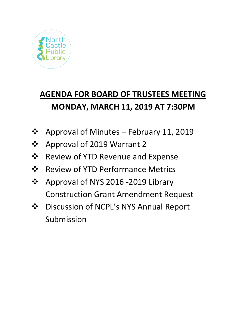

# **AGENDA FOR BOARD OF TRUSTEES MEETING MONDAY, MARCH 11, 2019 AT 7:30PM**

- **❖** Approval of Minutes February 11, 2019
- ❖ Approval of 2019 Warrant 2
- $\div$  Review of YTD Revenue and Expense
- ❖ Review of YTD Performance Metrics
- ❖ Approval of NYS 2016 -2019 Library Construction Grant Amendment Request
- Discussion of NCPL's NYS Annual Report Submission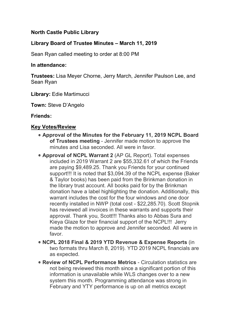## **North Castle Public Library**

### **Library Board of Trustee Minutes – March 11, 2019**

Sean Ryan called meeting to order at 8:00 PM

#### **In attendance:**

**Trustees:** Lisa Meyer Chorne, Jerry March, Jennifer Paulson Lee, and Sean Ryan

**Library:** Edie Martimucci

**Town:** Steve D'Angelo

#### **Friends:**

#### **Key Votes/Review**

- **Approval of the Minutes for the February 11, 2019 NCPL Board of Trustees meeting** - Jennifer made motion to approve the minutes and Lisa seconded. All were in favor.
- **Approval of NCPL Warrant 2** (AP GL Report). Total expenses included in 2019 Warrant 2 are \$55,332.61 of which the Friends are paying \$9,489.25. Thank you Friends for your continued support!!! It is noted that \$3,094.39 of the NCPL expense (Baker & Taylor books) has been paid from the Brinkman donation in the library trust account. All books paid for by the Brinkman donation have a label highlighting the donation. Additionally, this warrant includes the cost for the four windows and one door recently installed in NWP (total cost - \$22,285.70). Scott Stopnik has reviewed all invoices in these warrants and supports their approval. Thank you, Scott!!! Thanks also to Abbas Sura and Kieya Glaze for their financial support of the NCPL!!! Jerry made the motion to approve and Jennifer seconded. All were in favor.
- **NCPL 2018 Final & 2019 YTD Revenue & Expense Reports** (in two formats thru March 8, 2019). YTD 2019 NCPL financials are as expected.
- **Review of NCPL Performance Metrics** Circulation statistics are not being reviewed this month since a significant portion of this information is unavailable while WLS changes over to a new system this month. Programming attendance was strong in February and YTY performance is up on all metrics except